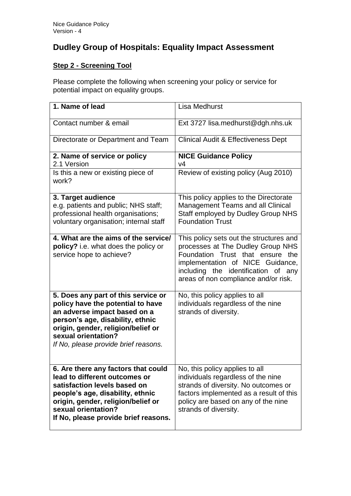## **Dudley Group of Hospitals: Equality Impact Assessment**

## **Step 2 - Screening Tool**

Please complete the following when screening your policy or service for potential impact on equality groups.

| 1. Name of lead                                                                                                                                                                                                                                   | <b>Lisa Medhurst</b>                                                                                                                                                                                                                |
|---------------------------------------------------------------------------------------------------------------------------------------------------------------------------------------------------------------------------------------------------|-------------------------------------------------------------------------------------------------------------------------------------------------------------------------------------------------------------------------------------|
| Contact number & email                                                                                                                                                                                                                            | Ext 3727 lisa.medhurst@dgh.nhs.uk                                                                                                                                                                                                   |
| Directorate or Department and Team                                                                                                                                                                                                                | Clinical Audit & Effectiveness Dept                                                                                                                                                                                                 |
| 2. Name of service or policy<br>2.1 Version                                                                                                                                                                                                       | <b>NICE Guidance Policy</b><br>v4                                                                                                                                                                                                   |
| Is this a new or existing piece of<br>work?                                                                                                                                                                                                       | Review of existing policy (Aug 2010)                                                                                                                                                                                                |
| 3. Target audience<br>e.g. patients and public; NHS staff;<br>professional health organisations;<br>voluntary organisation; internal staff                                                                                                        | This policy applies to the Directorate<br><b>Management Teams and all Clinical</b><br><b>Staff employed by Dudley Group NHS</b><br><b>Foundation Trust</b>                                                                          |
| 4. What are the aims of the service/<br>policy? i.e. what does the policy or<br>service hope to achieve?                                                                                                                                          | This policy sets out the structures and<br>processes at The Dudley Group NHS<br>Foundation Trust that ensure the<br>implementation of NICE Guidance,<br>including the identification of any<br>areas of non compliance and/or risk. |
| 5. Does any part of this service or<br>policy have the potential to have<br>an adverse impact based on a<br>person's age, disability, ethnic<br>origin, gender, religion/belief or<br>sexual orientation?<br>If No, please provide brief reasons. | No, this policy applies to all<br>individuals regardless of the nine<br>strands of diversity.                                                                                                                                       |
| 6. Are there any factors that could<br>lead to different outcomes or<br>satisfaction levels based on<br>people's age, disability, ethnic<br>origin, gender, religion/belief or<br>sexual orientation?<br>If No, please provide brief reasons.     | No, this policy applies to all<br>individuals regardless of the nine<br>strands of diversity. No outcomes or<br>factors implemented as a result of this<br>policy are based on any of the nine<br>strands of diversity.             |